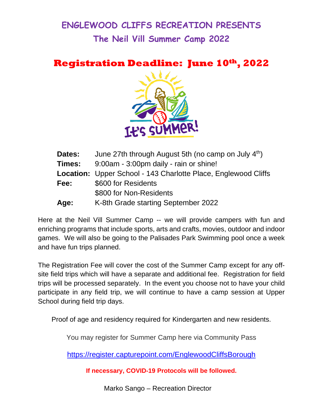## **ENGLEWOOD CLIFFS RECREATION PRESENTS The Neil Vill Summer Camp 2022**

**Registration Deadline: June 10th, 2022**



| June 27th through August 5th (no camp on July 4th)<br><b>Dates:</b> |                                                                |  |
|---------------------------------------------------------------------|----------------------------------------------------------------|--|
| <b>Times:</b>                                                       | 9:00am - 3:00pm daily - rain or shine!                         |  |
|                                                                     | Location: Upper School - 143 Charlotte Place, Englewood Cliffs |  |
| Fee:                                                                | \$600 for Residents                                            |  |
|                                                                     | \$800 for Non-Residents                                        |  |
| Age:                                                                | K-8th Grade starting September 2022                            |  |

Here at the Neil Vill Summer Camp -- we will provide campers with fun and enriching programs that include sports, arts and crafts, movies, outdoor and indoor games. We will also be going to the Palisades Park Swimming pool once a week and have fun trips planned.

The Registration Fee will cover the cost of the Summer Camp except for any offsite field trips which will have a separate and additional fee. Registration for field trips will be processed separately. In the event you choose not to have your child participate in any field trip, we will continue to have a camp session at Upper School during field trip days.

Proof of age and residency required for Kindergarten and new residents.

You may register for Summer Camp here via Community Pass

<https://register.capturepoint.com/EnglewoodCliffsBorough>

**If necessary, COVID-19 Protocols will be followed.**

Marko Sango – Recreation Director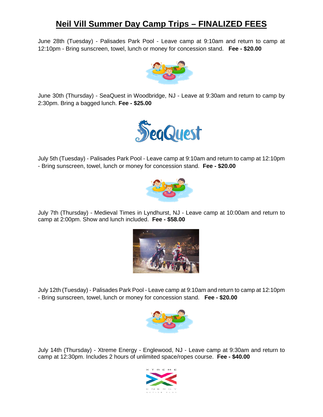## **Neil Vill Summer Day Camp Trips – FINALIZED FEES**

June 28th (Tuesday) - Palisades Park Pool - Leave camp at 9:10am and return to camp at 12:10pm - Bring sunscreen, towel, lunch or money for concession stand. **Fee - \$20.00**



June 30th (Thursday) - SeaQuest in Woodbridge, NJ - Leave at 9:30am and return to camp by 2:30pm. Bring a bagged lunch. **Fee - \$25.00**



July 5th (Tuesday) - Palisades Park Pool - Leave camp at 9:10am and return to camp at 12:10pm - Bring sunscreen, towel, lunch or money for concession stand. **Fee - \$20.00**



July 7th (Thursday) - Medieval Times in Lyndhurst, NJ - Leave camp at 10:00am and return to camp at 2:00pm. Show and lunch included. **Fee - \$58.00**



July 12th (Tuesday) - Palisades Park Pool - Leave camp at 9:10am and return to camp at 12:10pm - Bring sunscreen, towel, lunch or money for concession stand. **Fee - \$20.00**



July 14th (Thursday) - Xtreme Energy - Englewood, NJ - Leave camp at 9:30am and return to camp at 12:30pm. Includes 2 hours of unlimited space/ropes course. **Fee - \$40.00**

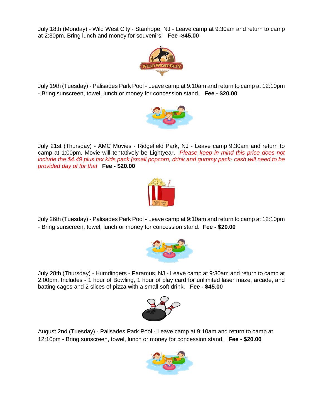July 18th (Monday) - Wild West City - Stanhope, NJ - Leave camp at 9:30am and return to camp at 2:30pm. Bring lunch and money for souvenirs. **Fee -\$45.00**



July 19th (Tuesday) - Palisades Park Pool - Leave camp at 9:10am and return to camp at 12:10pm - Bring sunscreen, towel, lunch or money for concession stand. **Fee - \$20.00**



July 21st (Thursday) - AMC Movies - Ridgefield Park, NJ - Leave camp 9:30am and return to camp at 1:00pm. Movie will tentatively be Lightyear. *Please keep in mind this price does not include the \$4.49 plus tax kids pack (small popcorn, drink and gummy pack- cash will need to be provided day of for that* **Fee - \$20.00**



July 26th (Tuesday) - Palisades Park Pool - Leave camp at 9:10am and return to camp at 12:10pm - Bring sunscreen, towel, lunch or money for concession stand. **Fee - \$20.00**



July 28th (Thursday) - Humdingers - Paramus, NJ - Leave camp at 9:30am and return to camp at 2:00pm. Includes - 1 hour of Bowling, 1 hour of play card for unlimited laser maze, arcade, and batting cages and 2 slices of pizza with a small soft drink. **Fee - \$45.00**



August 2nd (Tuesday) - Palisades Park Pool - Leave camp at 9:10am and return to camp at 12:10pm - Bring sunscreen, towel, lunch or money for concession stand. **Fee - \$20.00**